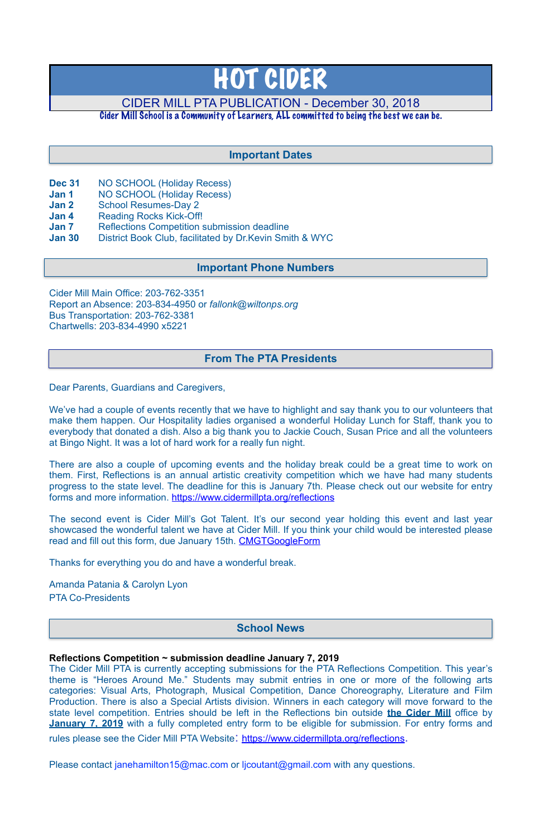- **Dec 31** NO SCHOOL (Holiday Recess)
- **Jan 1** NO SCHOOL (Holiday Recess)
- **Jan 2** School Resumes-Day 2
- **Jan 4** Reading Rocks Kick-Off!
- **Jan 7** Reflections Competition submission deadline
- **Jan 30** District Book Club, facilitated by Dr.Kevin Smith & WYC

Cider Mill Main Office: 203-762-3351 Report an Absence: 203-834-4950 or *[fallonk@wiltonps.org](mailto:fallonk@wiltonps.org)* Bus Transportation: 203-762-3381 Chartwells: 203-834-4990 x5221

We've had a couple of events recently that we have to highlight and say thank you to our volunteers that make them happen. Our Hospitality ladies organised a wonderful Holiday Lunch for Staff, thank you to everybody that donated a dish. Also a big thank you to Jackie Couch, Susan Price and all the volunteers at Bingo Night. It was a lot of hard work for a really fun night.

There are also a couple of upcoming events and the holiday break could be a great time to work on them. First, Reflections is an annual artistic creativity competition which we have had many students progress to the state level. The deadline for this is [January 7th.](x-apple-data-detectors://1) Please check out our website for entry forms and more information. [https://www.cidermillpta.org/reflections](http://track.spe.schoolmessenger.com/f/a/rKfkLMIiwQxiuSYzSNDhvA~~/AAAAAQA~/RgRd6knSP0QoaHR0cHM6Ly93d3cuY2lkZXJtaWxscHRhLm9yZy9yZWZsZWN0aW9uc1cHc2Nob29sbUIKAABSFglcfN3FYFIYYW1hbmRhX3BhdGFuaWFAeWFob28uY29tWAQAAAAB)

Dear Parents, Guardians and Caregivers,

The second event is Cider Mill's Got Talent. It's our second year holding this event and last year showcased the wonderful talent we have at Cider Mill. If you think your child would be interested please read and fill out this form, [due January 15th.](x-apple-data-detectors://3) [CMGTGoogleForm](https://docs.google.com/forms/d/e/1FAIpQLSes1KFowncZvUi7B5aisrWHbStmXCa7OPiWtihCUyN2raDtVw/viewform)

The Cider Mill PTA is currently accepting submissions for the PTA Reflections Competition. This year's theme is "Heroes Around Me." Students may submit entries in one or more of the following arts categories: Visual Arts, Photograph, Musical Competition, Dance Choreography, Literature and Film Production. There is also a Special Artists division. Winners in each category will move forward to the state level competition. Entries should be left in the Reflections bin outside **the Cider Mill** office by **[January 7, 2019](x-apple-data-detectors://7)** with a fully completed entry form to be eligible for submission. For entry forms and

rules please see the Cider Mill PTA Website: <https://www.cidermillpta.org/reflections>.

Please contact [janehamilton15@mac.com](mailto:janehamilton15@mac.com) or [ljcoutant@gmail.com](mailto:ljcoutant@gmail.com) with any questions.

Thanks for everything you do and have a wonderful break.

Amanda Patania & Carolyn Lyon PTA Co-Presidents

#### **Reflections Competition ~ submission deadline January 7, 2019**

# HOT CIDER

CIDER MILL PTA PUBLICATION - December 30, 2018

Cider Mill School is a Community of Learners, ALL committed to being the best we can be.

# **School News**

## **From The PTA Presidents**

# **Important Dates**

## **Important Phone Numbers**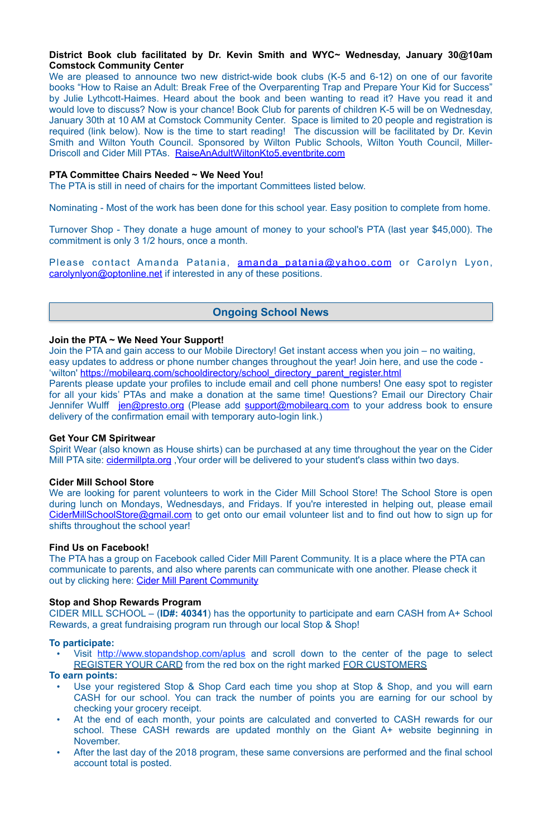#### **District Book club facilitated by Dr. Kevin Smith and WYC~ Wednesday, January 30@10am Comstock Community Center**

We are pleased to announce two new district-wide book clubs (K-5 and 6-12) on one of our favorite books "How to Raise an Adult: Break Free of the Overparenting Trap and Prepare Your Kid for Success" by Julie Lythcott-Haimes. Heard about the book and been wanting to read it? Have you read it and would love to discuss? Now is your chance! Book Club for parents of children K-5 will be [on Wednesday,](x-apple-data-detectors://0) [January 30th at 10 AM](x-apple-data-detectors://0) at Comstock Community Center. Space is limited to 20 people and registration is required (link below). Now is the time to start reading! The discussion will be facilitated by Dr. Kevin Smith and Wilton Youth Council. Sponsored by Wilton Public Schools, Wilton Youth Council, Miller-Driscoll and Cider Mill PTAs. [RaiseAnAdultWiltonKto5.eventbrite.com](http://raiseanadultwiltonkto5.eventbrite.com/)

#### **PTA Committee Chairs Needed ~ We Need You!**

The PTA is still in need of chairs for the important Committees listed below.

Spirit Wear (also known as House shirts) can be purchased at any time throughout the year on the Cider Mill PTA site: cidermillpta.org, Your order will be delivered to your student's class within two days.

Nominating - Most of the work has been done for this school year. Easy position to complete from home.

Turnover Shop - They donate a huge amount of money to your school's PTA (last year \$45,000). The commitment is only 3 1/2 hours, once a month.

Please contact Amanda Patania, **amanda patania@yahoo.com** or Carolyn Lyon, [carolynlyon@optonline.net](mailto:carolynlyon@optonline.net) if interested in any of these positions.

We are looking for parent volunteers to work in the Cider Mill School Store! The School Store is open during lunch on Mondays, Wednesdays, and Fridays. If you're interested in helping out, please email [CiderMillSchoolStore@gmail.com](mailto:CiderMillSchoolStore@gmail.com) to get onto our email volunteer list and to find out how to sign up for shifts throughout the school year!

The PTA has a group on Facebook called Cider Mill Parent Community. It is a place where the PTA can communicate to parents, and also where parents can communicate with one another. Please check it out by clicking here: [Cider Mill Parent Community](https://www.facebook.com/groups/1168962513117647/)

#### **Join the PTA ~ We Need Your Support!**

Join the PTA and gain access to our Mobile Directory! Get instant access when you join – no waiting, easy updates to address or phone number changes throughout the year! Join here, and use the code - 'wilton' [https://mobilearq.com/schooldirectory/school\\_directory\\_parent\\_register.html](https://mobilearq.com/schooldirectory/school_directory_parent_register.html) 

Visit <http://www.stopandshop.com/aplus>and scroll down to the center of the page to select REGISTER YOUR CARD from the red box on the right marked FOR CUSTOMERS

Parents please update your profiles to include email and cell phone numbers! One easy spot to register for all your kids' PTAs and make a donation at the same time! Questions? Email our Directory Chair Jennifer Wulff [jen@presto.org](mailto:jen@presto.org) (Please add support@mobilearg.com to your address book to ensure delivery of the confirmation email with temporary auto-login link.)

- Use your registered Stop & Shop Card each time you shop at Stop & Shop, and you will earn CASH for our school. You can track the number of points you are earning for our school by checking your grocery receipt.
- At the end of each month, your points are calculated and converted to CASH rewards for our school. These CASH rewards are updated monthly on the Giant A+ website beginning in November.
- After the last day of the 2018 program, these same conversions are performed and the final school account total is posted.

#### **Get Your CM Spiritwear**

#### **Cider Mill School Store**

#### **Find Us on Facebook!**

#### **Stop and Shop Rewards Program**

CIDER MILL SCHOOL – (**ID#: 40341**) has the opportunity to participate and earn CASH from A+ School Rewards, a great fundraising program run through our local Stop & Shop!

### **To participate:**

**To earn points:**

## **Ongoing School News**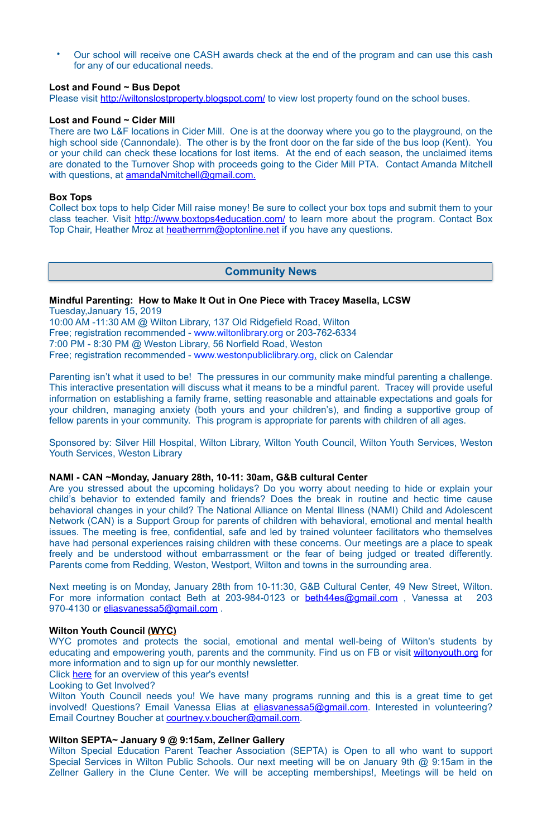• Our school will receive one CASH awards check at the end of the program and can use this cash for any of our educational needs.

#### **Lost and Found ~ Bus Depot**

Please visit <http://wiltonslostproperty.blogspot.com/>to view lost property found on the school buses.

There are two L&F locations in Cider Mill. One is at the doorway where you go to the playground, on the high school side (Cannondale). The other is by the front door on the far side of the bus loop (Kent). You or your child can check these locations for lost items. At the end of each season, the unclaimed items are donated to the Turnover Shop with proceeds going to the Cider Mill PTA. Contact Amanda Mitchell with questions, at [amandaNmitchell@gmail.com](mailto:amandaNmitchell@gmail.com).

#### **Lost and Found ~ Cider Mill**

Collect box tops to help Cider Mill raise money! Be sure to collect your box tops and submit them to your class teacher. Visit <http://www.boxtops4education.com/> to learn more about the program. Contact Box Top Chair, Heather Mroz at [heathermm@optonline.net](mailto:heathermm@optonline.net) if you have any questions.

#### **Box Tops**

# **Mindful Parenting: How to Make It Out in One Piece with Tracey Masella, LCSW**

Tuesday,January 15, 2019 10:00 AM -11:30 AM @ Wilton Library, 137 Old Ridgefield Road, Wilton Free; registration recommended - [www.wiltonlibrary.org](http://www.wiltonlibrary.org/) or 203-762-6334 7:00 PM - 8:30 PM @ Weston Library, 56 Norfield Road, Weston Free; registration recommended - [www.westonpubliclibrary.org](http://www.westonpubliclibrary.org/), click on Calendar

Next meeting is on Monday, [January 28th from 10-11:30](x-apple-data-detectors://4), G&B Cultural Center, 49 New Street, Wilton. For more information contact Beth at 203-984-0123 or beth44es@gmail.com, Vanessa at 203 970-4130 or [eliasvanessa5@gmail.com](mailto:eliasvanessa5@gmail.com).

Parenting isn't what it used to be! The pressures in our community make mindful parenting a challenge. This interactive presentation will discuss what it means to be a mindful parent. Tracey will provide useful information on establishing a family frame, setting reasonable and attainable expectations and goals for your children, managing anxiety (both yours and your children's), and finding a supportive group of fellow parents in your community. This program is appropriate for parents with children of all ages.

Wilton Youth Council needs you! We have many programs running and this is a great time to get involved! Questions? Email Vanessa Elias at [eliasvanessa5@gmail.com.](mailto:eliasvanessa5@gmail.com) Interested in volunteering? Email Courtney Boucher at **courtney.v.boucher@gmail.com.** 

Sponsored by: Silver Hill Hospital, Wilton Library, Wilton Youth Council, Wilton Youth Services, Weston Youth Services, Weston Library

#### **NAMI - CAN ~Monday, January 28th, 10-11: 30am, G&B cultural Center**

Are you stressed about the upcoming holidays? Do you worry about needing to hide or explain your child's behavior to extended family and friends? Does the break in routine and hectic time cause behavioral changes in your child? The National Alliance on Mental Illness (NAMI) Child and Adolescent Network (CAN) is a Support Group for parents of children with behavioral, emotional and mental health issues. The meeting is free, confidential, safe and led by trained volunteer facilitators who themselves have had personal experiences raising children with these concerns. Our meetings are a place to speak freely and be understood without embarrassment or the fear of being judged or treated differently. Parents come from Redding, Weston, Westport, Wilton and towns in the surrounding area.

#### **Wilton Youth Council (WYC)**

WYC promotes and protects the social, emotional and mental well-being of Wilton's students by educating and empowering youth, parents and the community. Find us on FB or visit [wiltonyouth.org](http://wiltonyouth.org) for more information and to sign up for our monthly newsletter.

Click [here](http://files.constantcontact.com/a093842c001/38385929-43f0-45d4-b187-f0f71a4d7dbb.pdf) for an overview of this year's events!

Looking to Get Involved?

#### **Wilton SEPTA~ January 9 @ 9:15am, Zellner Gallery**

Wilton Special Education Parent Teacher Association (SEPTA) is Open to all who want to support Special Services in Wilton Public Schools. Our next meeting will be on January 9th @ 9:15am in the Zellner Gallery in the Clune Center. We will be accepting memberships!, Meetings will be held on

## **Community News**